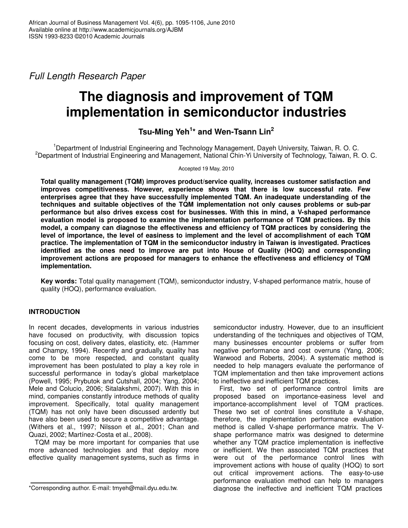*Full Length Research Paper*

# **The diagnosis and improvement of TQM implementation in semiconductor industries**

## **Tsu-Ming Yeh 1 \* and Wen-Tsann Lin 2**

<sup>1</sup>Department of Industrial Engineering and Technology Management, Dayeh University, Taiwan, R. O. C. <sup>2</sup>Department of Industrial Engineering and Management, National Chin-Yi University of Technology, Taiwan, R. O. C.

#### Accepted 19 May, 2010

**Total quality management (TQM) improves product/service quality, increases customer satisfaction and improves competitiveness. However, experience shows that there is low successful rate. Few enterprises agree that they have successfully implemented TQM. An inadequate understanding of the techniques and suitable objectives of the TQM implementation not only causes problems or sub-par performance but also drives excess cost for businesses. With this in mind, a V-shaped performance evaluation model is proposed to examine the implementation performance of TQM practices. By this model, a company can diagnose the effectiveness and efficiency of TQM practices by considering the level of importance, the level of easiness to implement and the level of accomplishment of each TQM practice. The implementation of TQM in the semiconductor industry in Taiwan is investigated. Practices identified as the ones need to improve are put into House of Quality (HOQ) and corresponding improvement actions are proposed for managers to enhance the effectiveness and efficiency of TQM implementation.**

**Key words:** Total quality management (TQM), semiconductor industry, V-shaped performance matrix, house of quality (HOQ), performance evaluation.

## **INTRODUCTION**

In recent decades, developments in various industries have focused on productivity, with discussion topics focusing on cost, delivery dates, elasticity, etc. (Hammer and Champy, 1994). Recently and gradually, quality has come to be more respected, and constant quality improvement has been postulated to play a key role in successful performance in today's global marketplace (Powell, 1995; Prybutok and Cutshall, 2004; Yang, 2004; Mele and Colucio, 2006; Sitalakshmi, 2007). With this in mind, companies constantly introduce methods of quality improvement. Specifically, total quality management (TQM) has not only have been discussed ardently but have also been used to secure a competitive advantage. (Withers et al., 1997; Nilsson et al., 2001; Chan and Quazi, 2002; Martínez-Costa et al., 2008).

TQM may be more important for companies that use more advanced technologies and that deploy more effective quality management systems, such as firms in semiconductor industry. However, due to an insufficient understanding of the techniques and objectives of TQM, many businesses encounter problems or suffer from negative performance and cost overruns (Yang, 2006; Warwood and Roberts, 2004). A systematic method is needed to help managers evaluate the performance of TQM implementation and then take improvement actions to ineffective and inefficient TQM practices.

First, two set of performance control limits are proposed based on importance-easiness level and importance-accomplishment level of TQM practices. These two set of control lines constitute a V-shape, therefore, the implementation performance evaluation method is called V-shape performance matrix. The Vshape performance matrix was designed to determine whether any TQM practice implementation is ineffective or inefficient. We then associated TQM practices that were out of the performance control lines with improvement actions with house of quality (HOQ) to sort out critical improvement actions. The easy-to-use performance evaluation method can help to managers diagnose the ineffective and inefficient TQM practices

<sup>\*</sup>Corresponding author. E-mail: tmyeh@mail.dyu.edu.tw.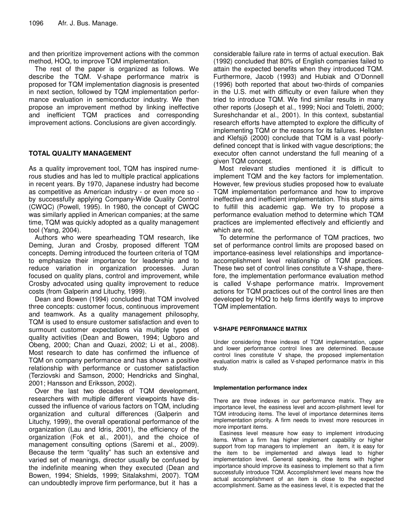and then prioritize improvement actions with the common method, HOQ, to improve TQM implementation.

The rest of the paper is organized as follows. We describe the TQM. V-shape performance matrix is proposed for TQM implementation diagnosis is presented in next section, followed by TQM implementation performance evaluation in semiconductor industry. We then propose an improvement method by linking ineffective and inefficient TQM practices and corresponding improvement actions. Conclusions are given accordingly.

### **TOTAL QUALITY MANAGEMENT**

As a quality improvement tool, TQM has inspired numerous studies and has led to multiple practical applications in recent years. By 1970, Japanese industry had become as competitive as American industry - or even more so by successfully applying Company-Wide Quality Control (CWQC) (Powell, 1995). In 1980, the concept of CWQC was similarly applied in American companies; at the same time, TQM was quickly adopted as a quality management tool (Yang, 2004).

Authors who were spearheading TQM research, like Deming, Juran and Crosby, proposed different TQM concepts. Deming introduced the fourteen criteria of TQM to emphasize their importance for leadership and to reduce variation in organization processes. Juran focused on quality plans, control and improvement, while Crosby advocated using quality improvement to reduce costs (from Galperin and Lituchy, 1999).

Dean and Bowen (1994) concluded that TQM involved three concepts: customer focus, continuous improvement and teamwork. As a quality management philosophy, TQM is used to ensure customer satisfaction and even to surmount customer expectations via multiple types of quality activities (Dean and Bowen, 1994; Ugboro and Obeng, 2000; Chan and Quazi, 2002; Li et al., 2008). Most research to date has confirmed the influence of TQM on company performance and has shown a positive relationship with performance or customer satisfaction (Terziovski and Samson, 2000; Hendricks and Singhal, 2001; Hansson and Eriksson, 2002).

Over the last two decades of TQM development, researchers with multiple different viewpoints have discussed the influence of various factors on TQM, including organization and cultural differences (Galperin and Lituchy, 1999), the overall operational performance of the organization (Lau and Idris, 2001), the efficiency of the organization (Fok et al., 2001), and the choice of management consulting options (Saremi et al., 2009). Because the term "quality" has such an extensive and varied set of meanings, director usually be confused by the indefinite meaning when they executed (Dean and Bowen, 1994; Shields, 1999; Sitalakshmi, 2007). TQM can undoubtedly improve firm performance, but it has a

considerable failure rate in terms of actual execution. Bak (1992) concluded that 80% of English companies failed to attain the expected benefits when they introduced TQM. Furthermore, Jacob (1993) and Hubiak and O'Donnell (1996) both reported that about two-thirds of companies in the U.S. met with difficulty or even failure when they tried to introduce TQM. We find similar results in many other reports (Joseph et al., 1999; Noci and Toletti, 2000; Sureshchandar et al., 2001). In this context, substantial research efforts have attempted to explore the difficulty of implementing TQM or the reasons for its failures. Hellsten and Klefsjö (2000) conclude that TQM is a vast poorlydefined concept that is linked with vague descriptions; the executor often cannot understand the full meaning of a given TQM concept.

Most relevant studies mentioned it is difficult to implement TQM and the key factors for implementation. However, few previous studies proposed how to evaluate TQM implementation performance and how to improve ineffective and inefficient implementation. This study aims to fulfill this academic gap. We try to propose a performance evaluation method to determine which TQM practices are implemented effectively and efficiently and which are not.

To determine the performance of TQM practices, two set of performance control limits are proposed based on importance-easiness level relationships and importanceaccomplishment level relationship of TQM practices. These two set of control lines constitute a V-shape, therefore, the implementation performance evaluation method is called V-shape performance matrix. Improvement actions for TQM practices out of the control lines are then developed by HOQ to help firms identify ways to improve TQM implementation.

#### **V-SHAPE PERFORMANCE MATRIX**

Under considering three indexes of TQM implementation, upper and lower performance control lines are determined. Because control lines constitute V shape, the proposed implementation evaluation matrix is called as V-shaped performance matrix in this study.

#### **Implementation performance index**

There are three indexes in our performance matrix. They are importance level, the easiness level and accom-plishment level for TQM introducing items. The level of importance determines items implementation priority. A firm needs to invest more resources in more important items.

Easiness level measure how easy to implement introducing items. When a firm has higher implement capability or higher support from top managers to implement an item, it is easy for the item to be implemented and always lead to higher implementation level. General speaking, the items with higher importance should improve its easiness to implement so that a firm successfully introduce TQM. Accomplishment level means how the actual accomplishment of an item is close to the expected accomplishment. Same as the easiness level, it is expected that the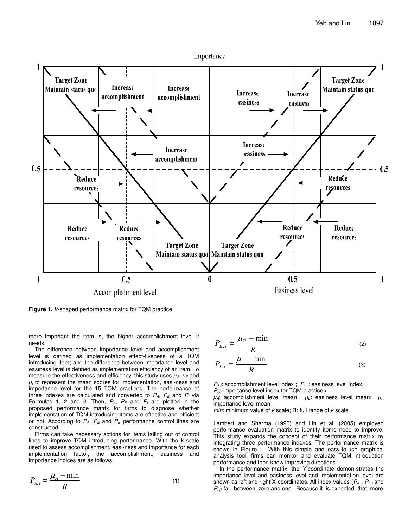

**Figure 1.** *V*-shaped performance matrix for TQM practice.

more important the item is, the higher accomplishment level it needs.

The difference between importance level and accomplishment level is defined as implementation effect-tiveness of a TQM introducing item; and the difference between importance level and easiness level is defined as implementation efficiency of an item. To measure the effectiveness and efficiency, this study uses  $\mu_A$ ,  $\mu_E$  and  $\mu$ <sub>I</sub> to represent the mean scores for implementation, easi-ness and importance level for the 15 TQM practices. The performance of three indexes are calculated and converted to  $P_A$ ,  $P_E$  and  $P_I$  via Formulas 1, 2 and 3. Then, *PA*, *P<sup>E</sup>* and *P<sup>I</sup>* are plotted in the proposed performance matrix for firms to diagnose whether implementation of TQM introducing items are effective and efficient or not. According to *PA*, *P<sup>E</sup>* and *PI*, performance control lines are constructed.

Firms can take necessary actions for items falling out of control lines to improve TQM introducing performance. With the k-scale used to assess accomplishment, easi-ness and importance for each implementation factor, the accomplishment, easiness and importance indices are as follows:

$$
P_{A,i} = \frac{\mu_A - \min}{R} \tag{1}
$$

$$
P_{E,i} = \frac{\mu_{\rm E} - \min}{R} \tag{2}
$$

$$
P_{I,i} = \frac{\mu_{\rm I} - \min}{R} \tag{3}
$$

*PA,i*: accomplishment level index ; *PE,i*: easiness level index; *PI,i*: importance level index for TQM practice *i*

 $\mu_A$ : accomplishment level mean;  $\mu_E$ : easiness level mean;  $\mu_E$ : importance level mean

*min*: minimum value of *k* scale; R: full range of *k* scale

Lambert and Sharma (1990) and Lin et al. (2005) employed performance evaluation matrix to identify items need to improve. This study expands the concept of their performance matrix by integrating three performance indexes. The performance matrix is shown in Figure 1. With this simple and easy-to-use graphical analysis tool, firms can monitor and evaluate TQM introduction performance and then know improving directions.

In the performance matrix, the *Y*-coordinate demon-strates the importance level and easiness level and implementation level are shown as left and right X-coordinates. All index values (*PA,i*, *PE,i* and  $P_{I,i}$  fall between zero and one. Because it is expected that more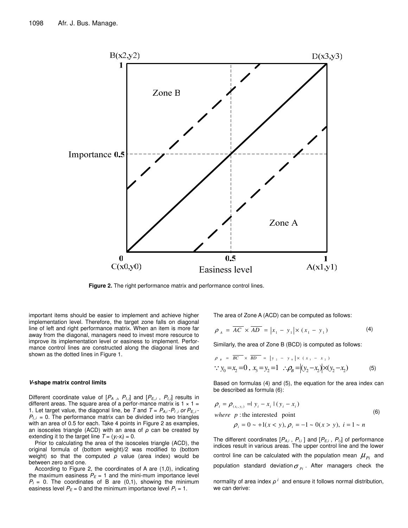

**Figure 2.** The right performance matrix and performance control lines.

important items should be easier to implement and achieve higher implementation level. Therefore, the target zone falls on diagonal line of left and right performance matrix. When an item is more far away from the diagonal, managers need to invest more resource to improve its implementation level or easiness to implement. Performance control lines are constructed along the diagonal lines and shown as the dotted lines in Figure 1.

#### *V***-shape matrix control limits**

Different coordinate value of [*P<sup>A</sup> ,i*, *PI,,i*] and [*PE,,i* , *PI,,i*] results in different areas. The square area of a perfor-mance matrix is  $1 \times 1 =$ 1. Let target value, the diagonal line, be *T* and  $T = P_{A,i} - P_{I,i}$  or  $P_{E,i}$ .  $P_{I,i}$  = 0. The performance matrix can be divided into two triangles with an area of 0.5 for each. Take 4 points in Figure 2 as examples, an isosceles triangle (ACD) with an area of  $\rho$  can be created by extending it to the target line  $T = (y_i - x_i) = 0$ .

Prior to calculating the area of the isosceles triangle (ACD), the original formula of (bottom weight)/2 was modified to (bottom weight) so that the computed  $\rho$  value (area index) would be between zero and one.

According to Figure 2, the coordinates of A are (1,0), indicating the maximum easiness  $P_E = 1$  and the mini-mum importance level  $P_1 = 0$ . The coordinates of B are  $(0,1)$ , showing the minimum easiness level  $P_E = 0$  and the minimum importance level  $P_I = 1$ .

The area of Zone A (ACD) can be computed as follows:

$$
\rho_A = \overline{AC} \times \overline{AD} = |x_1 - y_1| \times (x_1 - y_1)
$$
 (4)

Similarly, the area of Zone B (BCD) is computed as follows:

$$
\rho_{B} = \overline{BC} \times \overline{BD} = |y_{2} - y_{0}| \times (x_{3} - x_{2})
$$
  
\n
$$
\therefore y_{0} = x_{2} = 0, x_{3} = y_{2} = 1 \therefore \rho_{B} = |(y_{2} - x_{2})| \times (y_{2} - x_{2})
$$
(5)

Based on formulas (4) and (5), the equation for the area index can be described as formula (6):

$$
\rho_i = \rho_{(x_i, y_i)} = |y_i - x_i| (y_i - x_i)
$$
  
\nwhere *p*: the interested point  
\n
$$
\rho_i = 0 \sim +1(x < y), \rho_i = -1 \sim 0 (x > y), \quad i = 1 \sim n
$$
\n(6)

The different coordinates  $[P_{A,i}, P_{I,i}]$  and  $[P_{E,i}, P_{I,i}]$  of performance indices result in various areas. The upper control line and the lower control line can be calculated with the population mean  $\mu_{\scriptscriptstyle{P}i}^{}$  and population standard deviation $\sigma_{_{Pl}}$ . After managers check the

normality of area index  $\rho^i$  and ensure it follows normal distribution, we can derive: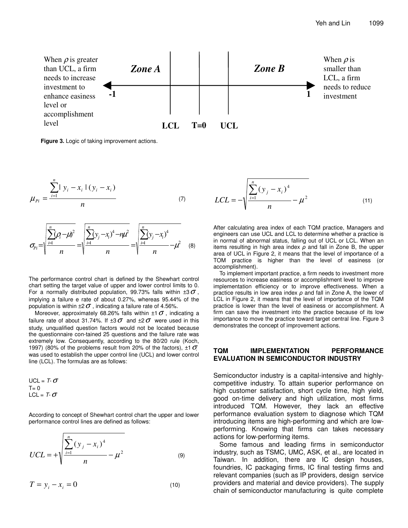

**Figure 3.** Logic of taking improvement actions.

$$
\mu_{p_i} = \frac{\sum_{i=1}^{n} |y_i - x_i| (y_i - x_i)}{n}
$$
 (7)

$$
\sigma_{pi} = \sqrt{\frac{\sum_{i=1}^{n} (\rho_{i} - \mu)^{2}}{n}} = \sqrt{\frac{\sum_{i=1}^{n} (y_{j} - x_{i})^{4} - n\mu^{2}}{n}} = \sqrt{\frac{\sum_{i=1}^{n} (y_{j} - x_{i})^{4}}{n}} - \mu^{2}
$$
 (8)

The performance control chart is defined by the Shewhart control chart setting the target value of upper and lower control limits to 0. For a normally distributed population, 99.73% falls within  $\pm 3\sigma$ , implying a failure e rate of about 0.27%, whereas 95.44% of the population is within  $\pm 2\sigma$ , indicating a failure rate of 4.56%.

Moreover, approximately 68.26% falls within  $\pm 1\sigma$ , indicating a failure rate of about 31.74%. If  $\pm 3\sigma$  and  $\pm 2\sigma$  were used in this study, unqualified question factors would not be located because the questionnaire con-tained 25 questions and the failure rate was extremely low. Consequently, according to the 80/20 rule (Koch, 1997) (80% of the problems result from 20% of the factors),  $\pm 1 \sigma$ was used to establish the upper control line (UCL) and lower control line (LCL). The formulas are as follows:

$$
UCL = T - \sigma
$$
  
T = 0  
LCL = T -  $\sigma$ 

According to concept of Shewhart control chart the upper and lower performance control lines are defined as follows:

$$
UCL = + \sqrt{\frac{\sum_{i=1}^{n} (y_j - x_i)^4}{n}} - \mu^2
$$
 (9)

$$
T = y_i - x_i = 0 \tag{10}
$$

$$
LCL = -\sqrt{\frac{\sum_{i=1}^{n} (y_j - x_i)^4}{n}} - \mu^2
$$
 (11)

After calculating area index of each TQM practice, Managers and engineers can use UCL and LCL to determine whether a practice is in normal of abnormal status, falling out of UCL or LCL. When an items resulting in high area index  $\rho$  and fall in Zone B, the upper area of UCL in Figure 2, it means that the level of importance of a TOM practice is higher than the level of easiness (or accomplishment).

To implement important practice, a firm needs to investment more resources to increase easiness or accomplishment level to improve implementation efficiency or to improve effectiveness. When a practice results in low area index  $\rho$  and fall in Zone A, the lower of LCL in Figure 2, it means that the level of importance of the TQM practice is lower than the level of easiness or accomplishment. A firm can save the investment into the practice because of its low importance to move the practice toward target central line. Figure 3 demonstrates the concept of improvement actions.

#### **TQM IMPLEMENTATION PERFORMANCE EVALUATION IN SEMICONDUCTOR INDUSTRY**

Semiconductor industry is a capital-intensive and highlycompetitive industry. To attain superior performance on high customer satisfaction, short cycle time, high yield, good on-time delivery and high utilization, most firms introduced TQM. However, they lack an effective performance evaluation system to diagnose which TQM introducing items are high-performing and which are lowperforming. Knowing that firms can takes necessary actions for low-performing items.

Some famous and leading firms in semiconductor industry, such as TSMC, UMC, ASK, et al., are located in Taiwan. In addition, there are IC design houses, foundries, IC packaging firms, IC final testing firms and relevant companies (such as IP providers, design service providers and material and device providers). The supply chain of semiconductor manufacturing is quite complete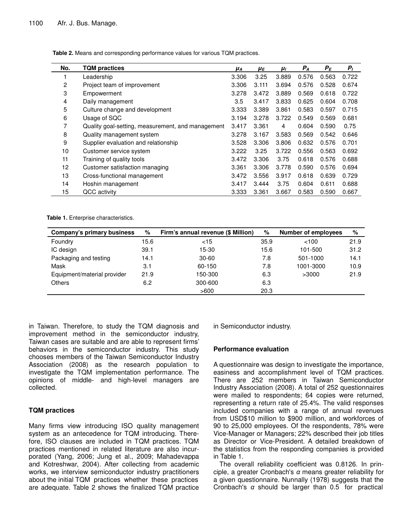| No. | <b>TQM</b> practices                              | μа    | μE    | μι    | $P_A$ | $P_E$ | $P_I$ |
|-----|---------------------------------------------------|-------|-------|-------|-------|-------|-------|
|     | Leadership                                        | 3.306 | 3.25  | 3.889 | 0.576 | 0.563 | 0.722 |
| 2   | Project team of improvement                       | 3.306 | 3.111 | 3.694 | 0.576 | 0.528 | 0.674 |
| 3   | Empowerment                                       | 3.278 | 3.472 | 3.889 | 0.569 | 0.618 | 0.722 |
| 4   | Daily management                                  | 3.5   | 3.417 | 3.833 | 0.625 | 0.604 | 0.708 |
| 5   | Culture change and development                    | 3.333 | 3.389 | 3.861 | 0.583 | 0.597 | 0.715 |
| 6   | Usage of SQC                                      | 3.194 | 3.278 | 3.722 | 0.549 | 0.569 | 0.681 |
| 7   | Quality goal-setting, measurement, and management | 3.417 | 3.361 | 4     | 0.604 | 0.590 | 0.75  |
| 8   | Quality management system                         | 3.278 | 3.167 | 3.583 | 0.569 | 0.542 | 0.646 |
| 9   | Supplier evaluation and relationship              | 3.528 | 3.306 | 3.806 | 0.632 | 0.576 | 0.701 |
| 10  | Customer service system                           | 3.222 | 3.25  | 3.722 | 0.556 | 0.563 | 0.692 |
| 11  | Training of quality tools                         | 3.472 | 3.306 | 3.75  | 0.618 | 0.576 | 0.688 |
| 12  | Customer satisfaction managing                    | 3.361 | 3.306 | 3.778 | 0.590 | 0.576 | 0.694 |
| 13  | Cross-functional management                       | 3.472 | 3.556 | 3.917 | 0.618 | 0.639 | 0.729 |
| 14  | Hoshin management                                 | 3.417 | 3.444 | 3.75  | 0.604 | 0.611 | 0.688 |
| 15  | QCC activity                                      | 3.333 | 3.361 | 3.667 | 0.583 | 0.590 | 0.667 |

**Table 2.** Means and corresponding performance values for various TQM practices.

**Table 1.** Enterprise characteristics.

| Company's primary business  | %    | Firm's annual revenue (\$ Million) | $\%$ | <b>Number of employees</b> | %    |
|-----------------------------|------|------------------------------------|------|----------------------------|------|
| Foundry                     | 15.6 | $<$ 15                             | 35.9 | <100                       | 21.9 |
| IC design                   | 39.1 | 15-30                              | 15.6 | 101-500                    | 31.2 |
| Packaging and testing       | 14.1 | 30-60                              | 7.8  | 501-1000                   | 14.1 |
| Mask                        | 3.1  | 60-150                             | 7.8  | 1001-3000                  | 10.9 |
| Equipment/material provider | 21.9 | 150-300                            | 6.3  | >3000                      | 21.9 |
| <b>Others</b>               | 6.2  | 300-600                            | 6.3  |                            |      |
|                             |      | >600                               | 20.3 |                            |      |

in Taiwan. Therefore, to study the TQM diagnosis and improvement method in the semiconductor industry, Taiwan cases are suitable and are able to represent firms' behaviors in the semiconductor industry. This study chooses members of the Taiwan Semiconductor Industry Association (2008) as the research population to investigate the TQM implementation performance. The opinions of middle- and high-level managers are collected.

## **TQM practices**

Many firms view introducing ISO quality management system as an antecedence for TQM introducing. Therefore, ISO clauses are included in TQM practices. TQM practices mentioned in related literature are also incurporated (Yang, 2006; Jung et al., 2009; Mahadevappa and Kotreshwar, 2004). After collecting from academic works, we interview semiconductor industry practitioners about the initial TQM practices whether these practices are adequate. Table 2 shows the finalized TQM practice

in Semiconductor industry.

#### **Performance evaluation**

A questionnaire was design to investigate the importance, easiness and accomplishment level of TQM practices. There are 252 members in Taiwan Semiconductor Industry Association (2008). A total of 252 questionnaires were mailed to respondents; 64 copies were returned, representing a return rate of 25.4%. The valid responses included companies with a range of annual revenues from USD\$10 million to \$900 million, and workforces of 90 to 25,000 employees. Of the respondents, 78% were Vice-Manager or Managers; 22% described their job titles as Director or Vice-President. A detailed breakdown of the statistics from the responding companies is provided in Table 1.

The overall reliability coefficient was 0.8126. In principle, a greater Cronbach's  $\alpha$  means greater reliability for a given questionnaire. Nunnally (1978) suggests that the Cronbach's  $\alpha$  should be larger than 0.5 for practical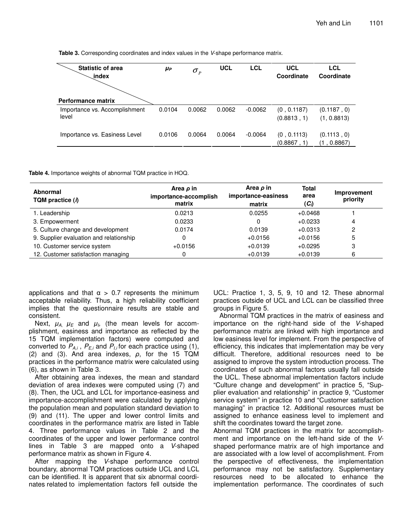**Table 3.** Corresponding coordinates and index values in the *V*-shape performance matrix.

| <b>Statistic of area</b><br>index      | μp     | $\sigma_{\scriptscriptstyle p}$ | <b>UCL</b> | <b>LCL</b> | <b>UCL</b><br>Coordinate   | <b>LCL</b><br>Coordinate   |  |
|----------------------------------------|--------|---------------------------------|------------|------------|----------------------------|----------------------------|--|
| <b>Performance matrix</b>              |        |                                 |            |            |                            |                            |  |
| Importance vs. Accomplishment<br>level | 0.0104 | 0.0062                          | 0.0062     | $-0.0062$  | (0, 0.1187)<br>(0.8813, 1) | (0.1187, 0)<br>(1, 0.8813) |  |
| Importance vs. Easiness Level          | 0.0106 | 0.0064                          | 0.0064     | $-0.0064$  | (0, 0.1113)<br>(0.8867, 1) | (0.1113, 0)<br>(1, 0.8867) |  |

**Table 4.** Importance weights of abnormal TQM practice in HOQ.

| Abnormal<br>TQM practice (i)            | Area $\rho$ in<br>importance-accomplish<br>matrix | Area $\rho$ in<br>importance-easiness<br>matrix | <b>Total</b><br>area<br>$(C_i)$ | Improvement<br>priority |  |
|-----------------------------------------|---------------------------------------------------|-------------------------------------------------|---------------------------------|-------------------------|--|
| 1. Leadership                           | 0.0213                                            | 0.0255                                          | $+0.0468$                       |                         |  |
| 3. Empowerment                          | 0.0233                                            | 0                                               | $+0.0233$                       | 4                       |  |
| 5. Culture change and development       | 0.0174                                            | 0.0139                                          | $+0.0313$                       | 2                       |  |
| 9. Supplier evaluation and relationship | 0                                                 | $+0.0156$                                       | $+0.0156$                       | 5                       |  |
| 10. Customer service system             | $+0.0156$                                         | $+0.0139$                                       | $+0.0295$                       | 3                       |  |
| 12. Customer satisfaction managing      | 0                                                 | $+0.0139$                                       | $+0.0139$                       | 6                       |  |

applications and that  $\alpha > 0.7$  represents the minimum acceptable reliability. Thus, a high reliability coefficient implies that the questionnaire results are stable and consistent.

Next,  $\mu_{A,}\,\,\mu_{E}$  and  $\mu_{\scriptscriptstyle{b}}$  (the mean levels for accomplishment, easiness and importance as reflected by the 15 TQM implementation factors) were computed and converted to *PA,i* , *PE,i* and *PI,i* for each practice using (1), (2) and (3). And area indexes,  $\rho$ , for the 15 TQM practices in the performance matrix were calculated using (6), as shown in Table 3.

After obtaining area indexes, the mean and standard deviation of area indexes were computed using (7) and (8). Then, the UCL and LCL for importance-easiness and importance-accomplishment were calculated by applying the population mean and population standard deviation to (9) and (11). The upper and lower control limits and coordinates in the performance matrix are listed in Table 4. Three performance values in Table 2 and the coordinates of the upper and lower performance control lines in Table 3 are mapped onto a *V*-shaped performance matrix as shown in Figure 4.

After mapping the *V*-shape performance control boundary, abnormal TQM practices outside UCL and LCL can be identified. It is apparent that six abnormal coordinates related to implementation factors fell outside the

UCL: Practice 1, 3, 5, 9, 10 and 12. These abnormal practices outside of UCL and LCL can be classified three groups in Figure 5.

Abnormal TQM practices in the matrix of easiness and importance on the right-hand side of the *V*-shaped performance matrix are linked with high importance and low easiness level for implement. From the perspective of efficiency, this indicates that implementation may be very difficult. Therefore, additional resources need to be assigned to improve the system introduction process. The coordinates of such abnormal factors usually fall outside the UCL. These abnormal implementation factors include "Culture change and development" in practice 5, "Supplier evaluation and relationship" in practice 9, "Customer service system" in practice 10 and "Customer satisfaction managing" in practice 12. Additional resources must be assigned to enhance easiness level to implement and shift the coordinates toward the target zone.

Abnormal TQM practices in the matrix for accomplishment and importance on the left-hand side of the *V*shaped performance matrix are of high importance and are associated with a low level of accomplishment. From the perspective of effectiveness, the implementation performance may not be satisfactory. Supplementary resources need to be allocated to enhance the implementation performance. The coordinates of such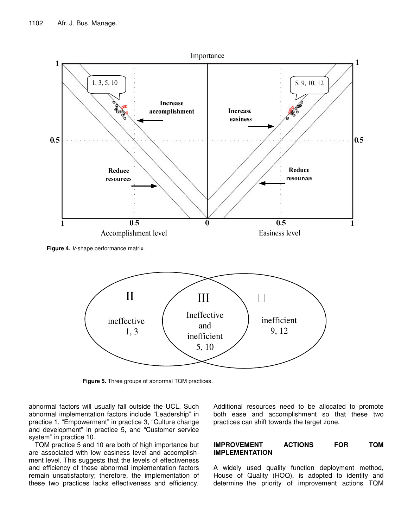

**Figure 4.** *V*-shape performance matrix.



**Figure 5.** Three groups of abnormal TQM practices.

abnormal factors will usually fall outside the UCL. Such abnormal implementation factors include "Leadership" in practice 1, "Empowerment" in practice 3, "Culture change and development" in practice 5, and "Customer service system" in practice 10.

TQM practice 5 and 10 are both of high importance but are associated with low easiness level and accomplishment level. This suggests that the levels of effectiveness and efficiency of these abnormal implementation factors remain unsatisfactory; therefore, the implementation of these two practices lacks effectiveness and efficiency.

Additional resources need to be allocated to promote both ease and accomplishment so that these two practices can shift towards the target zone.

### **IMPROVEMENT ACTIONS FOR TQM IMPLEMENTATION**

A widely used quality function deployment method, House of Quality (HOQ), is adopted to identify and determine the priority of improvement actions TQM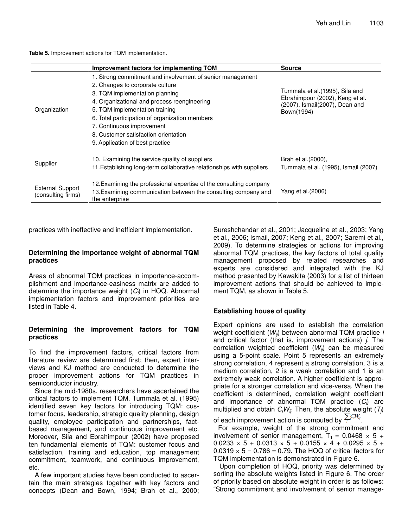**Improvement factors for implementing TQM Source** 1. Strong commitment and involvement of senior management 2. Changes to corporate culture 3. TQM implementation planning 4. Organizational and process reengineering Organization 5. TQM implementation training example of the state of the Bown(1994) 6. Total participation of organization members 7. Continuous improvement 8. Customer satisfaction orientation Tummala et al.(1995), Sila and Ebrahimpour (2002), Keng et al. (2007), Ismail(2007), Dean and **Organization** 9. Application of best practice 10. Examining the service quality of suppliers Supplier 11.Establishing long-term collaborative relationships with suppliers Brah et al.(2000), Tummala et al. (1995), Ismail (2007) 12.Examining the professional expertise of the consulting company External Support (consulting firms) 13.Examining communication between the consulting company and the enterprise Yang et al.(2006)

**Table 5.** Improvement actions for TQM implementation.

practices with ineffective and inefficient implementation.

### **Determining the importance weight of abnormal TQM practices**

Areas of abnormal TQM practices in importance-accomplishment and importance-easiness matrix are added to determine the importance weight (*Ci*) in HOQ. Abnormal implementation factors and improvement priorities are listed in Table 4.

#### **Determining the improvement factors for TQM practices**

To find the improvement factors, critical factors from literature review are determined first; then, expert interviews and KJ method are conducted to determine the proper improvement actions for TQM practices in semiconductor industry.

Since the mid-1980s, researchers have ascertained the critical factors to implement TQM. Tummala et al. (1995) identified seven key factors for introducing TQM: customer focus, leadership, strategic quality planning, design quality, employee participation and partnerships, factbased management, and continuous improvement etc. Moreover, Sila and Ebrahimpour (2002) have proposed ten fundamental elements of TQM: customer focus and satisfaction, training and education, top management commitment, teamwork, and continuous improvement, etc.

A few important studies have been conducted to ascertain the main strategies together with key factors and concepts (Dean and Bown, 1994; Brah et al., 2000; Sureshchandar et al., 2001; Jacqueline et al., 2003; Yang et al., 2006; Ismail, 2007; Keng et al., 2007; Saremi et al., 2009). To determine strategies or actions for improving abnormal TQM practices, the key factors of total quality management proposed by related researches and experts are considered and integrated with the KJ method presented by Kawakita (2003) for a list of thirteen improvement actions that should be achieved to implement TQM, as shown in Table 5.

## **Establishing house of quality**

Expert opinions are used to establish the correlation weight coefficient (*Wij*) between abnormal TQM practice *i* and critical factor (that is, improvement actions) *j*. The correlation weighted coefficient (*Wij*) can be measured using a 5-point scale. Point 5 represents an extremely strong correlation, 4 represent a strong correlation, 3 is a medium correlation, 2 is a weak correlation and 1 is an extremely weak correlation. A higher coefficient is appropriate for a stronger correlation and vice-versa. When the coefficient is determined, correlation weight coefficient and importance of abnormal TQM practice (*Ci*) are multiplied and obtain *CiWij* . Then, the absolute weight (*Tj*) of each improvement action is computed by  $\sum_i C_i W_{ij}$ .

For example, weight of the strong commitment and involvement of senior management,  $T_1 = 0.0468 \times 5 +$  $0.0233 \times 5 + 0.0313 \times 5 + 0.0155 \times 4 + 0.0295 \times 5 +$  $0.0319 \times 5 = 0.786 = 0.79$ . The HOQ of critical factors for TQM implementation is demonstrated in Figure 6.

Upon completion of HOQ, priority was determined by sorting the absolute weights listed in Figure 6. The order of priority based on absolute weight in order is as follows: "Strong commitment and involvement of senior manage-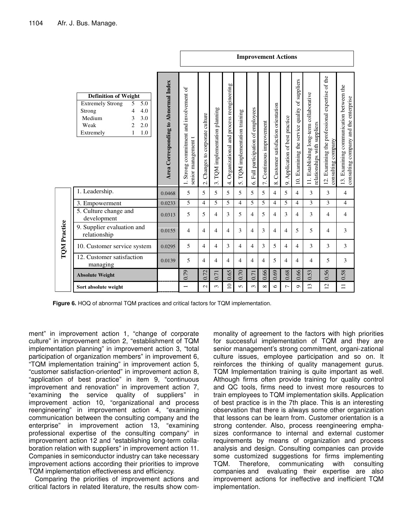|                     |                                                                                                                                                                                     |                                      | <b>Improvement Actions</b>                                                |                                                          |                                               |                                                       |                                |                                            |                                          |                                               |                                    |                                                |                                                                                  |                                                                       |                                                                                  |
|---------------------|-------------------------------------------------------------------------------------------------------------------------------------------------------------------------------------|--------------------------------------|---------------------------------------------------------------------------|----------------------------------------------------------|-----------------------------------------------|-------------------------------------------------------|--------------------------------|--------------------------------------------|------------------------------------------|-----------------------------------------------|------------------------------------|------------------------------------------------|----------------------------------------------------------------------------------|-----------------------------------------------------------------------|----------------------------------------------------------------------------------|
|                     | <b>Definition of Weight</b><br><b>Extremely Strong</b><br>5.0<br>5<br>Strong<br>4<br>4.0<br>Medium<br>3<br>3.0<br>Weak<br>$\overline{2}$<br>2.0<br>$\mathbf{1}$<br>1.0<br>Extremely | Area Corresponding to Abnormal Index | Strong commitment and involvement of<br>senior management t<br>$\ddot{ }$ | Changes to corporate culture<br>$\overline{\mathcal{N}}$ | TQM implementation planning<br>$\ddot{\cdot}$ | Organizational and process reengineering<br>$\vec{+}$ | 5. TQM implementation training | Full participation of employees<br>$\circ$ | Continuous improvement<br>$\overline{r}$ | Customer satisfaction orientation<br>$\infty$ | Application of best practice<br>o, | 10. Examining the service quality of suppliers | Establishing long-term collaborative<br>relationships with suppliers<br>$\equiv$ | 12. Examining the professional expertise of the<br>consulting company | 13. Examining communication between the<br>consulting company and the enterprise |
|                     | 1. Leadership.                                                                                                                                                                      | 0.0468                               | 5                                                                         | 5                                                        | 5                                             | 5                                                     | 5                              | 5                                          | 5                                        | $\overline{4}$                                | 5                                  | $\overline{4}$                                 | 3                                                                                | 3                                                                     | $\overline{4}$                                                                   |
|                     | 3. Empowerment                                                                                                                                                                      | 0.0233                               | 5                                                                         | $\overline{4}$                                           | 5                                             | 5                                                     | 4                              | 5                                          | 5                                        | $\overline{4}$                                | 5                                  | 4                                              | 3                                                                                | 3                                                                     | $\overline{4}$                                                                   |
|                     | 5. Culture change and<br>development                                                                                                                                                | 0.0313                               | 5                                                                         | 5                                                        | 4                                             | 3                                                     | 5                              | $\overline{4}$                             | 5                                        | $\overline{4}$                                | 3                                  | 4                                              | 3                                                                                | $\overline{4}$                                                        | 4                                                                                |
| <b>TQM</b> Practice | 9. Supplier evaluation and<br>relationship                                                                                                                                          | 0.0155                               | 4                                                                         | $\overline{4}$                                           | 4                                             | $\overline{4}$                                        | 3                              | $\overline{4}$                             | 3                                        | $\overline{4}$                                | $\overline{4}$                     | 5                                              | 5                                                                                | 4                                                                     | 3                                                                                |
|                     | 10. Customer service system                                                                                                                                                         | 0.0295                               | 5                                                                         | 4                                                        | 4                                             | 3                                                     | 4                              | $\overline{4}$                             | 3                                        | 5                                             | $\overline{4}$                     | 4                                              | 3                                                                                | 3                                                                     | 3                                                                                |
|                     | 12. Customer satisfaction<br>managing                                                                                                                                               | 0.0139                               | 5                                                                         | $\overline{4}$                                           | 4                                             | $\overline{4}$                                        | 4                              | $\overline{4}$                             | 4                                        | 5                                             | $\overline{4}$                     | 4                                              | 4                                                                                | 5                                                                     | 3                                                                                |
|                     | <b>Absolute Weight</b>                                                                                                                                                              |                                      | 0.79                                                                      | 0.72                                                     | 0.71                                          | 0.65                                                  | 0.70                           | 0.71                                       | 0.66                                     | 0.69                                          | 0.68                               | 0.66                                           | 0.53                                                                             | 0.56                                                                  | 0.58                                                                             |
|                     | Sort absolute weight                                                                                                                                                                |                                      | $\overline{\phantom{0}}$                                                  | $\mathbf 2$                                              | 3                                             | $\overline{a}$                                        | 5                              | 3                                          | $\infty$                                 | 6                                             | $\overline{ }$                     | $\sigma$                                       | $\frac{3}{2}$                                                                    | $\overline{2}$                                                        | $\equiv$                                                                         |

**Figure 6.** HOQ of abnormal TQM practices and critical factors for TQM implementation.

ment" in improvement action 1, "change of corporate culture" in improvement action 2, "establishment of TQM implementation planning" in improvement action 3, "total participation of organization members" in improvement 6, "TQM implementation training" in improvement action 5, "customer satisfaction-oriented" in improvement action 8, "application of best practice" in item 9, "continuous improvement and renovation" in improvement action 7, "examining the service quality of suppliers" in improvement action 10, "organizational and process reengineering" in improvement action 4, "examining communication between the consulting company and the enterprise" in improvement action 13, "examining professional expertise of the consulting company" in improvement action 12 and "establishing long-term collaboration relation with suppliers" in improvement action 11. Companies in semiconductor industry can take necessary improvement actions according their priorities to improve TQM implementation effectiveness and efficiency.

Comparing the priorities of improvement actions and critical factors in related literature, the results show com-

monality of agreement to the factors with high priorities for successful implementation of TQM and they are senior management's strong commitment, organi-zational culture issues, employee participation and so on. It reinforces the thinking of quality management gurus. TQM Implementation training is quite important as well. Although firms often provide training for quality control and QC tools, firms need to invest more resources to train employees to TQM implementation skills. Application of best practice is in the 7th place. This is an interesting observation that there is always some other organization that lessons can be learn from. Customer orientation is a strong contender. Also, process reengineering emphasizes conformance to internal and external customer requirements by means of organization and process analysis and design. Consulting companies can provide some customized suggestions for firms implementing TQM. Therefore, communicating with consulting companies and evaluating their expertise are also improvement actions for ineffective and inefficient TQM implementation.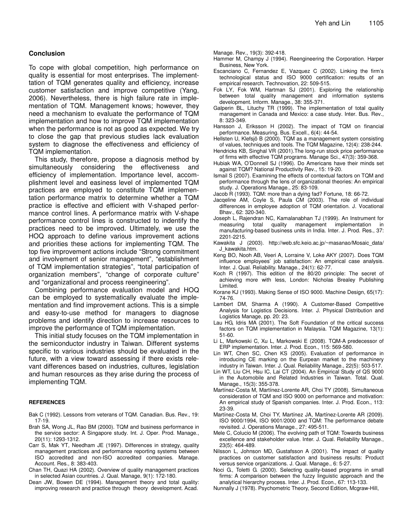#### **Conclusion**

To cope with global competition, high performance on quality is essential for most enterprises. The implementtation of TQM generates quality and efficiency, increase customer satisfaction and improve competitive (Yang, 2006). Nevertheless, there is high failure rate in implementation of TQM. Management knows; however, they need a mechanism to evaluate the performance of TQM implementation and how to improve TQM implementation when the performance is not as good as expected. We try to close the gap that previous studies lack evaluation system to diagnose the effectiveness and efficiency of TQM implementation.

This study, therefore, propose a diagnosis method by simultaneously considering the effectiveness and efficiency of implementation. Importance level, accomplishment level and easiness level of implemented TQM practices are employed to constitute TQM implementation performance matrix to determine whether a TQM practice is effective and efficient with V-shaped performance control lines. A performance matrix with V-shape performance control lines is constructed to indentify the practices need to be improved. Ultimately, we use the HOQ approach to define various improvement actions and priorities these actions for implementing TQM. The top five improvement actions include "Strong commitment and involvement of senior management", "establishment of TQM implementation strategies", "total participation of organization members", "change of corporate culture" and "organizational and process reengineering".

Combining performance evaluation model and HOQ can be employed to systematically evaluate the implementation and find improvement actions. This is a simple and easy-to-use method for managers to diagnose problems and identify direction to increase resources to improve the performance of TQM implementation.

This initial study focuses on the TQM implementation in the semiconductor industry in Taiwan. Different systems specific to various industries should be evaluated in the future, with a view toward assessing if there exists relevant differences based on industries, cultures, legislation and human resources as they arise during the process of implementing TQM.

#### **REFERENCES**

Bak C (1992). Lessons from veterans of TQM. Canadian. Bus. Rev., 19: 17-19.

- Brah SA, Wong JL, Rao BM (2000). TQM and business performance in the service sector: A Singapore study. Int. J. Oper. Prod. Manage., 20(11): 1293-1312.
- Carr S, Mak YT, Needham JE (1997). Differences in strategy, quality management practices and performance reporting systems between ISO accredited and non-ISO accredited companies. Manage. Account. Res., 8: 383-403.
- Chan TH, Quazi HA (2002). Overview of quality management practices in selected Asian countries. J. Qual. Manage, 9(1): 172-180.
- Dean JW, Bowen DE (1994). Management theory and total quality: improving research and practice through theory development. Acad.

Manage. Rev., 19(3): 392-418.

- Hammer M, Champy J (1994). Reengineering the Corporation. Harper Business, New York.
- Escanciano C, Fernandez E, Vazquez C (2002). Linking the firm's technological status and ISO 9000 certification: results of an empirical research. Technovation, 22: 509-515.
- Fok LY, Fok WM, Hartman SJ (2001). Exploring the relationship between total quality management and information systems development. Inform. Manage., 38: 355-371.
- Galperin BL, Lituchy TR (1999). The implementation of total quality management in Canada and Mexico: a case study. Inter. Bus. Rev., 8: 323-349.
- Hansson J, Eriksson H (2002). The impact of TQM on financial performance. Measuring. Bus. Excell., 6(4): 44-54.
- Hellsten U, Klefsjö B (2000). TQM as a management system consisting of values, techniques and tools. The TQM Magazine, 12(4): 238-244.
- Hendricks KB, Singhal VR (2001).The long-run stock price performance of firms with effective TQM programs. Manage Sci., 47(3): 359-368.
- Hubiak WA, O'Donnell SJ (1996). Do Americans have their minds set against TQM? National Productivity Rev., 15: 19-20.
- Ismail S (2007). Examining the effects of contextual factors on TQM and performance through the lens of organizational theories: An empirical study. J. Operations Manage., 25: 83-109.
- Jacob R (1993). TQM: more than a dying fad? Fortune, 18: 66-72.
- Jacqeline AM, Coyle S, Paula CM (2003). The role of individual differences in employee adoption of TQM orientation. J. Vocational Bhav., 62: 320-340.
- Joseph L, Rajendran NC, Kamalanabhan TJ (1999). An Instrument for measuring total quality management implementation manufacturing-based business units in India. Inter. J. Prod. Res., 37: 2201-2215.
- Kawakita J (2003). http://web.sfc.keio.ac.jp/~masanao/Mosaic\_data/ J\_kawakita.htm.
- Keng BO, Nooh AB, Veeri A, Lorraine V, Loke AKY (2007). Does TQM influence employees' job satisfaction: An empirical case analysis. Inter. J. Qual. Reliability. Manage., 24(1): 62-77.
- Koch R (1997). This edition of the 80/20 principle: The secret of achieving more with less, London: Nicholas Brealey Publishing Limited.
- Korane KJ (1993). Making Sense of ISO 9000. Machine Design, 65(17): 74-76.
- Lambert DM, Sharma A (1990). A Customer-Based Competitive Analysis for Logistics Decisions. Inter. J. Physical Distribution and Logistics Manage, pp. 20: 23.
- Lau HG, Idris MA (2001). The Soft Foundation of the critical success factors on TQM implementation in Malaysia. TQM Magazine, 13(1): 51-60.
- Li L, Markowski C, Xu L, Markowski E (2008). TQM-A predecessor of ERP implementation. Inter. J. Prod. Econ., 115: 569-580.
- Lin WT, Chen SC, Chen KS (2005). Evaluation of performance in introducing CE marking on the Eurpean market to the machinery industry in Taiwan. Inter. J. Qual. Reliability Manage., 22(5): 503-517.
- Lin WT, Liu CH, Hsu IC, Lai CT (2004). An Empirical Study of QS 9000 in the Automobile and Related Industries in Taiwan. Total. Qual. Manage., 15(3): 355-378.
- Martínez-Costa M, Martínez-Lorente AR, Choi TY (2008). Simultaneous consideration of TQM and ISO 9000 on performance and motivation: An empirical study of Spanish companies. Inter. J. Prod. Econ., 113: 23-39.
- Martínez-Costa M, Choi TY, Martínez JA, Martínez-Lorente AR (2009). ISO 9000/1994, ISO 9001/2000 and TQM: The performance debate revisited. J. Operations Manage., 27: 495-511.
- Mele C, Colucio M (2006). The evolving path of TQM: Towards business excellence and stakeholder value. Inter. J. Qual. Reliability Manage., 23(5): 464-489.
- Nilsson L, Johnson MD, Gustafsson A (2001). The impact of quality practices on customer satisfaction and business results: Product versus service organizations. J. Qual. Manage., 6: 5-27.
- Noci G., Toletti G. (2000). Selecting quality-based programs in small firms: A comparison between the fuzzy linguistic approach and the analytical hierarchy process. Inter. J. Prod. Econ., 67: 113-133.
- Nunnally J (1978). Psychometric Theory, Second Edition, Mcgraw-Hill,